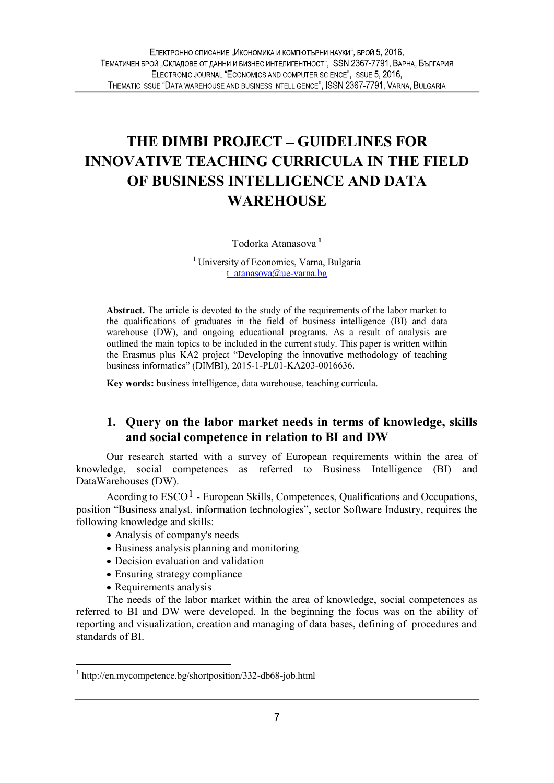# THE DIMBI PROJECT GUIDELINES FOR INNOVATIVE TEACHING CURRICULA IN THE FIELD OF BUSINESS INTELLIGENCE AND DATA **WAREHOUSE**

Todorka Atanasova<sup>1</sup>

<sup>1</sup> University of Economics, Varna, Bulgaria t\_atanasova@ue-varna.bg

Abstract. The article is devoted to the study of the requirements of the labor market to the qualifications of graduates in the field of business intelligence (BI) and data warehouse (DW), and ongoing educational programs. As a result of analysis are outlined the main topics to be included in the current study. This paper is written within<br>the Erasmus plus KA2 project "Developing the innovative methodology of teaching business informatics" (DIMBI), 2015-1-PL01-KA203-0016636.

Key words: business intelligence, data warehouse, teaching curricula.

### 1. Query on the labor market needs in terms of knowledge, skills and social competence in relation to BI and DW

Our research started with a survey of European requirements within the area of knowledge, social competences as referred to Business Intelligence (BI) and DataWarehouses (DW).

Acording to  $\text{ESCO}^1$  - European Skills, Competences, Qualifications and Occupations, position "Business analyst, information technologies", sector Software Industry, requires the following knowledge and skills:

- Analysis of company's needs
- Business analysis planning and monitoring
- Decision evaluation and validation
- Ensuring strategy compliance
- Requirements analysis

The needs of the labor market within the area of knowledge, social competences as referred to BI and DW were developed. In the beginning the focus was on the ability of reporting and visualization, creation and managing of data bases, defining of procedures and standards of BI.

<sup>&</sup>lt;sup>1</sup> http://en.mycompetence.bg/shortposition/332-db68-job.html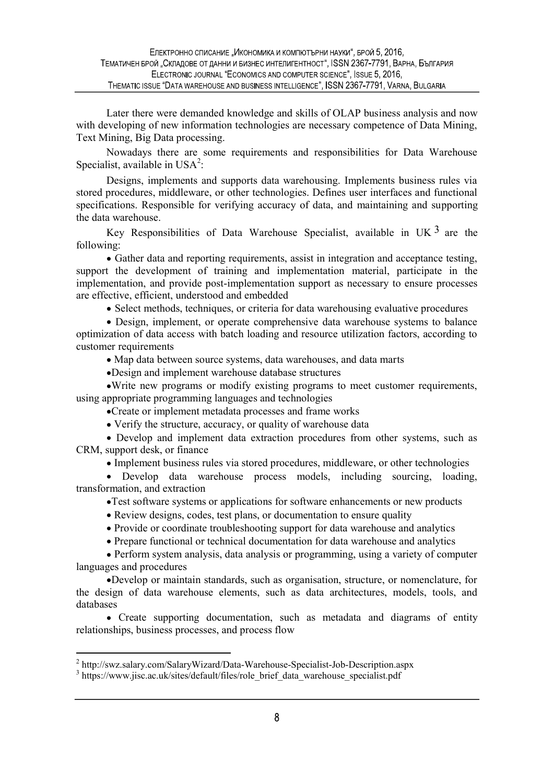Later there were demanded knowledge and skills of OLAP business analysis and now with developing of new information technologies are necessary competence of Data Mining, Text Mining, Big Data processing.

Nowadays there are some requirements and responsibilities for Data Warehouse Specialist, available in  $USA^2$ : :

Designs, implements and supports data warehousing. Implements business rules via stored procedures, middleware, or other technologies. Defines user interfaces and functional specifications. Responsible for verifying accuracy of data, and maintaining and supporting the data warehouse.

Key Responsibilities of Data Warehouse Specialist, available in UK  $3$  are the following:

Gather data and reporting requirements, assist in integration and acceptance testing, support the development of training and implementation material, participate in the implementation, and provide post-implementation support as necessary to ensure processes are effective, efficient, understood and embedded

• Select methods, techniques, or criteria for data warehousing evaluative procedures

• Design, implement, or operate comprehensive data warehouse systems to balance optimization of data access with batch loading and resource utilization factors, according to customer requirements

Map data between source systems, data warehouses, and data marts

Design and implement warehouse database structures

Write new programs or modify existing programs to meet customer requirements, using appropriate programming languages and technologies

Create or implement metadata processes and frame works

Verify the structure, accuracy, or quality of warehouse data

Develop and implement data extraction procedures from other systems, such as CRM, support desk, or finance

Implement business rules via stored procedures, middleware, or other technologies

Develop data warehouse process models, including sourcing, loading, transformation, and extraction

Test software systems or applications for software enhancements or new products

- Review designs, codes, test plans, or documentation to ensure quality
- Provide or coordinate troubleshooting support for data warehouse and analytics
- Prepare functional or technical documentation for data warehouse and analytics

Perform system analysis, data analysis or programming, using a variety of computer languages and procedures

Develop or maintain standards, such as organisation, structure, or nomenclature, for the design of data warehouse elements, such as data architectures, models, tools, and databases

 Create supporting documentation, such as metadata and diagrams of entity relationships, business processes, and process flow

<sup>2</sup> http://swz.salary.com/SalaryWizard/Data-Warehouse-Specialist-Job-Description.aspx

<sup>&</sup>lt;sup>3</sup> https://www.jisc.ac.uk/sites/default/files/role\_brief\_data\_warehouse\_specialist.pdf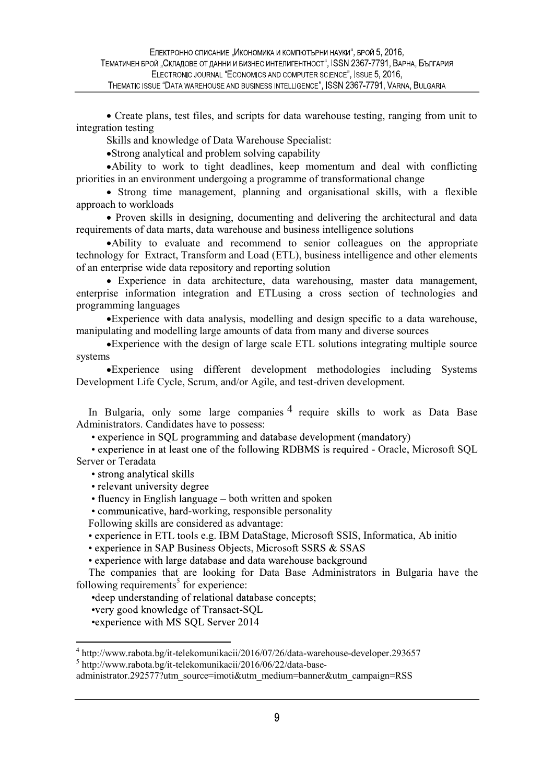Create plans, test files, and scripts for data warehouse testing, ranging from unit to integration testing

Skills and knowledge of Data Warehouse Specialist:

Strong analytical and problem solving capability

Ability to work to tight deadlines, keep momentum and deal with conflicting priorities in an environment undergoing a programme of transformational change

Strong time management, planning and organisational skills, with a flexible approach to workloads

• Proven skills in designing, documenting and delivering the architectural and data requirements of data marts, data warehouse and business intelligence solutions

Ability to evaluate and recommend to senior colleagues on the appropriate technology for Extract, Transform and Load (ETL), business intelligence and other elements of an enterprise wide data repository and reporting solution

Experience in data architecture, data warehousing, master data management, enterprise information integration and ETLusing a cross section of technologies and programming languages

Experience with data analysis, modelling and design specific to a data warehouse, manipulating and modelling large amounts of data from many and diverse sources

Experience with the design of large scale ETL solutions integrating multiple source systems

Experience using different development methodologies including Systems Development Life Cycle, Scrum, and/or Agile, and test-driven development.

In Bulgaria, only some large companies  $\frac{4}{3}$  require skills to work as Data Base Administrators. Candidates have to possess:

• experience in SQL programming and database development (mandatory)

• experience in at least one of the following RDBMS is required - Oracle, Microsoft SQL Server or Teradata

• strong analytical skills

• relevant university degree

 $\bullet$  fluency in English language  $-\text{both written}$  and spoken

• communicative, hard-working, responsible personality

Following skills are considered as advantage:

• experience in ETL tools e.g. IBM DataStage, Microsoft SSIS, Informatica, Ab initio

• experience in SAP Business Objects, Microsoft SSRS & SSAS

• experience with large database and data warehouse background

The companies that are looking for Data Base Administrators in Bulgaria have the following requirements<sup>5</sup> for experience:

• deep understanding of relational database concepts:

•very good knowledge of Transact-SQL

•experience with MS SQL Server 2014

5 http://www.rabota.bg/it-telekomunikacii/2016/06/22/data-base-

administrator.292577?utm\_source=imoti&utm\_medium=banner&utm\_campaign=RSS

<sup>&</sup>lt;sup>4</sup> http://www.rabota.bg/it-telekomunikacii/2016/07/26/data-warehouse-developer.293657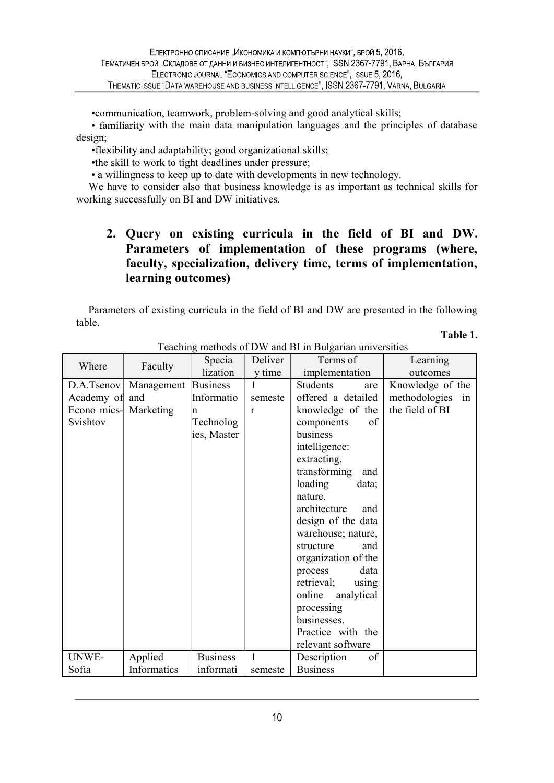•communication, teamwork, problem-solving and good analytical skills;

• familiarity with the main data manipulation languages and the principles of database design;

•flexibility and adaptability; good organizational skills;

•the skill to work to tight deadlines under pressure;

• a willingness to keep up to date with developments in new technology.

We have to consider also that business knowledge is as important as technical skills for working successfully on BI and DW initiatives.

# 2. Query on existing curricula in the field of BI and DW. Parameters of implementation of these programs (where, faculty, specialization, delivery time, terms of implementation, learning outcomes)

Parameters of existing curricula in the field of BI and DW are presented in the following table.

Table 1.

| Where                 | Faculty     | Specia          | Deliver      | Terms of             | Learning         |  |
|-----------------------|-------------|-----------------|--------------|----------------------|------------------|--|
|                       |             | lization        | y time       | implementation       | outcomes         |  |
| D.A.Tsenov            | Management  | <b>Business</b> | 1            | Students<br>are      | Knowledge of the |  |
| Academy of            | and         | Informatio      | semeste      | offered a detailed   | methodologies in |  |
| Econo mics- Marketing |             | n               | r            | knowledge of the     | the field of BI  |  |
| Svishtov              |             | Technolog       |              | components<br>of     |                  |  |
|                       |             | ies, Master     |              | business             |                  |  |
|                       |             |                 |              | intelligence:        |                  |  |
|                       |             |                 |              | extracting,          |                  |  |
|                       |             |                 |              | transforming<br>and  |                  |  |
|                       |             |                 |              | loading<br>data;     |                  |  |
|                       |             |                 |              | nature,              |                  |  |
|                       |             |                 |              | architecture<br>and  |                  |  |
|                       |             |                 |              | design of the data   |                  |  |
|                       |             |                 |              | warehouse; nature,   |                  |  |
|                       |             |                 |              | structure<br>and     |                  |  |
|                       |             |                 |              | organization of the  |                  |  |
|                       |             |                 |              | data<br>process      |                  |  |
|                       |             |                 |              | retrieval;<br>using  |                  |  |
|                       |             |                 |              | online<br>analytical |                  |  |
|                       |             |                 |              | processing           |                  |  |
|                       |             |                 |              | businesses.          |                  |  |
|                       |             |                 |              | Practice with the    |                  |  |
|                       |             |                 |              | relevant software    |                  |  |
| UNWE-                 | Applied     | <b>Business</b> | $\mathbf{1}$ | Description<br>of    |                  |  |
| Sofia                 | Informatics | informati       | semeste      | <b>Business</b>      |                  |  |

Teaching methods of DW and BI in Bulgarian universities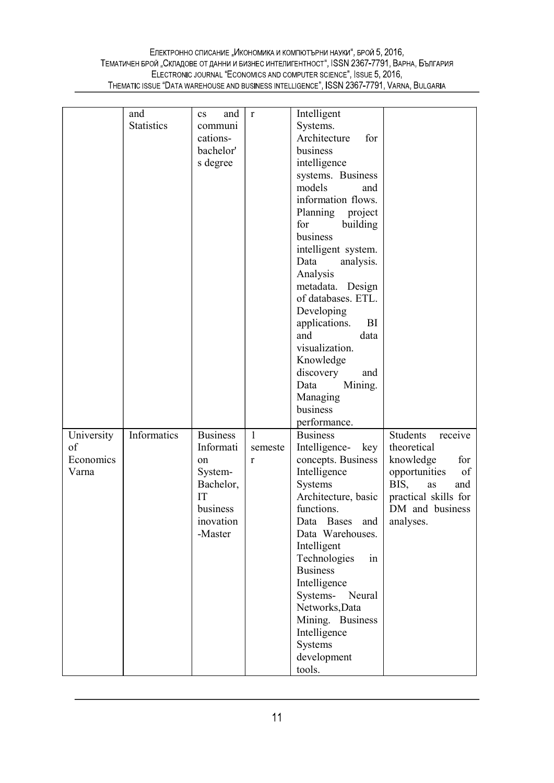|            | and               | and<br>$\mathbf{c}\mathbf{s}$ | $\mathbf r$  | Intelligent           |                      |
|------------|-------------------|-------------------------------|--------------|-----------------------|----------------------|
|            | <b>Statistics</b> | communi                       |              | Systems.              |                      |
|            |                   | cations-                      |              | Architecture<br>for   |                      |
|            |                   | bachelor'                     |              | business              |                      |
|            |                   | s degree                      |              | intelligence          |                      |
|            |                   |                               |              | systems. Business     |                      |
|            |                   |                               |              | models<br>and         |                      |
|            |                   |                               |              | information flows.    |                      |
|            |                   |                               |              | Planning<br>project   |                      |
|            |                   |                               |              | for<br>building       |                      |
|            |                   |                               |              | business              |                      |
|            |                   |                               |              | intelligent system.   |                      |
|            |                   |                               |              | Data<br>analysis.     |                      |
|            |                   |                               |              | Analysis              |                      |
|            |                   |                               |              | metadata. Design      |                      |
|            |                   |                               |              | of databases. ETL.    |                      |
|            |                   |                               |              | Developing            |                      |
|            |                   |                               |              | applications.<br>BI   |                      |
|            |                   |                               |              | and<br>data           |                      |
|            |                   |                               |              | visualization.        |                      |
|            |                   |                               |              | Knowledge             |                      |
|            |                   |                               |              | discovery<br>and      |                      |
|            |                   |                               |              | Mining.<br>Data       |                      |
|            |                   |                               |              | Managing              |                      |
|            |                   |                               |              | business              |                      |
|            |                   |                               |              | performance.          |                      |
| University | Informatics       | <b>Business</b>               | $\mathbf{1}$ | <b>Business</b>       | receive<br>Students  |
| of         |                   | Informati                     | semeste      | Intelligence- key     | theoretical          |
|            |                   | on                            | r            | concepts. Business    | knowledge<br>for     |
| Economics  |                   |                               |              |                       |                      |
| Varna      |                   | System-                       |              | Intelligence          | of<br>opportunities  |
|            |                   | Bachelor,                     |              | Systems               | BIS,<br>and<br>as    |
|            |                   | IT                            |              | Architecture, basic   | practical skills for |
|            |                   | business                      |              | functions.            | DM and business      |
|            |                   | inovation                     |              | Data Bases and        | analyses.            |
|            |                   | -Master                       |              | Data Warehouses.      |                      |
|            |                   |                               |              | Intelligent           |                      |
|            |                   |                               |              | Technologies<br>in    |                      |
|            |                   |                               |              | <b>Business</b>       |                      |
|            |                   |                               |              | Intelligence          |                      |
|            |                   |                               |              | Systems- Neural       |                      |
|            |                   |                               |              | Networks, Data        |                      |
|            |                   |                               |              | Mining. Business      |                      |
|            |                   |                               |              | Intelligence          |                      |
|            |                   |                               |              | Systems               |                      |
|            |                   |                               |              | development<br>tools. |                      |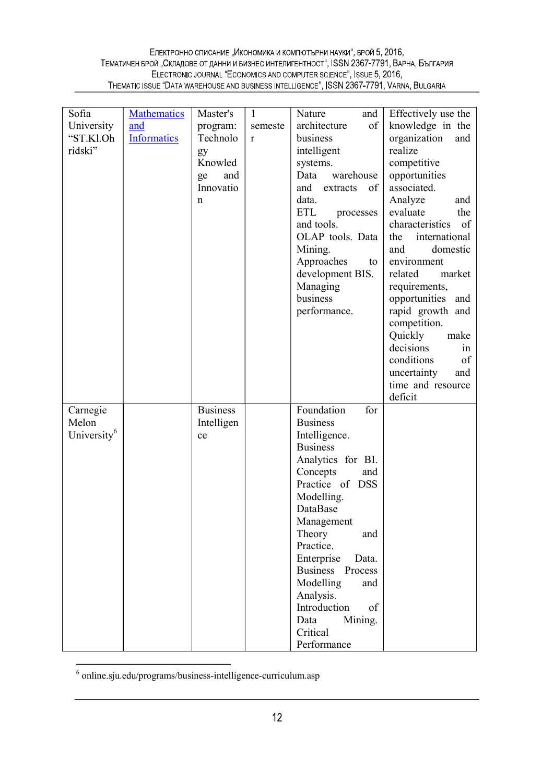#### Електронно списание "Икономика и компютърни науки", брой 5, 2016, ТЕМАТИЧЕН БРОЙ "СКЛАДОВЕ ОТ ДАННИ И БИЗНЕС ИНТЕЛИГЕНТНОСТ", ISSN 2367-7791, ВАРНА, БЪЛГАРИЯ ELECTRONIC JOURNAL "ECONOMICS AND COMPUTER SCIENCE", ISSUE 5, 2016, THEMATIC ISSUE "DATA WAREHOUSE AND BUSINESS INTELLIGENCE", ISSN 2367-7791, VARNA, BULGARIA

| Sofia                                        | <b>Mathematics</b>        | Master's                                                             | $\mathbf{1}$ | Nature<br>and                                                                                                                                                                                                                                                                                                                                             | Effectively use the                                                                                                                                                                                                                                                                                                                                                                                                                   |  |
|----------------------------------------------|---------------------------|----------------------------------------------------------------------|--------------|-----------------------------------------------------------------------------------------------------------------------------------------------------------------------------------------------------------------------------------------------------------------------------------------------------------------------------------------------------------|---------------------------------------------------------------------------------------------------------------------------------------------------------------------------------------------------------------------------------------------------------------------------------------------------------------------------------------------------------------------------------------------------------------------------------------|--|
| University<br>"ST.Kl.Oh<br>ridski"           | and<br><b>Informatics</b> | program:<br>Technolo<br>gy<br>Knowled<br>and<br>ge<br>Innovatio<br>n | semeste<br>r | of<br>architecture<br>business<br>intelligent<br>systems.<br>Data<br>warehouse<br>of<br>and extracts<br>data.<br><b>ETL</b><br>processes<br>and tools.<br>OLAP tools. Data<br>Mining.<br>Approaches<br>to<br>development BIS.<br>Managing<br>business<br>performance.                                                                                     | knowledge in the<br>organization<br>and<br>realize<br>competitive<br>opportunities<br>associated.<br>Analyze<br>and<br>evaluate<br>the<br>characteristics of<br>international<br>the<br>and<br>domestic<br>environment<br>related<br>market<br>requirements,<br>opportunities and<br>rapid growth and<br>competition.<br>Quickly<br>make<br>decisions<br>in<br>conditions<br>of<br>uncertainty<br>and<br>time and resource<br>deficit |  |
| Carnegie<br>Melon<br>University <sup>6</sup> |                           | <b>Business</b><br>Intelligen<br>ce                                  |              | Foundation<br>for<br><b>Business</b><br>Intelligence.<br><b>Business</b><br>Analytics for BI.<br>Concepts<br>and<br>Practice of DSS<br>Modelling.<br>DataBase<br>Management<br>Theory<br>and<br>Practice.<br>Enterprise<br>Data.<br>Business Process<br>Modelling<br>and<br>Analysis.<br>Introduction<br>of<br>Mining.<br>Data<br>Critical<br>Performance |                                                                                                                                                                                                                                                                                                                                                                                                                                       |  |

<sup>6</sup> online.sju.edu/programs/business-intelligence-curriculum.asp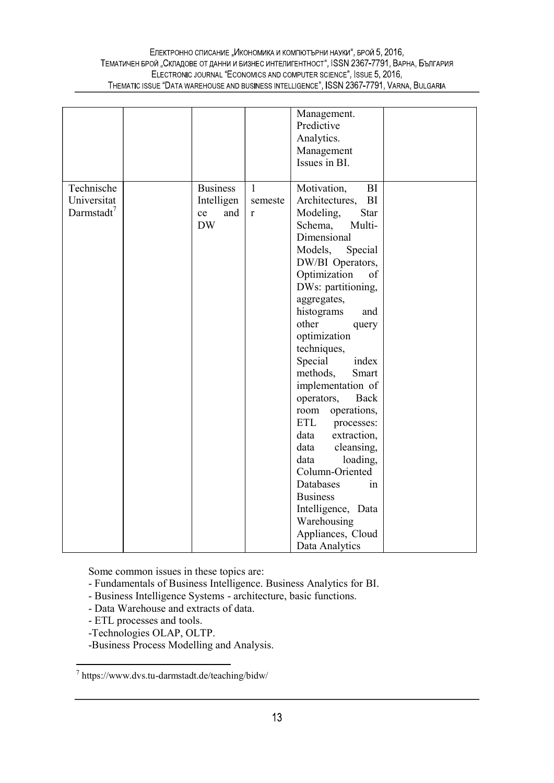#### Електронно списание "Икономика и компютърни науки", брой 5, 2016, ТЕМАТИЧЕН БРОЙ "СКЛАДОВЕ ОТ ДАННИ И БИЗНЕС ИНТЕЛИГЕНТНОСТ", ISSN 2367-7791, ВАРНА, БЪЛГАРИЯ ELECTRONIC JOURNAL "ECONOMICS AND COMPUTER SCIENCE", ISSUE 5, 2016, THEMATIC ISSUE "DATA WAREHOUSE AND BUSINESS INTELLIGENCE", ISSN 2367-7791, VARNA, BULGARIA

| Technische                            | <b>Business</b>                      | $\mathbf{1}$       | Management.<br>Predictive<br>Analytics.<br>Management<br>Issues in BI.                                                                                                                                                                                                                                                                                                                                                                                                                                                                                                                                                                   |  |
|---------------------------------------|--------------------------------------|--------------------|------------------------------------------------------------------------------------------------------------------------------------------------------------------------------------------------------------------------------------------------------------------------------------------------------------------------------------------------------------------------------------------------------------------------------------------------------------------------------------------------------------------------------------------------------------------------------------------------------------------------------------------|--|
| Universitat<br>Darmstadt <sup>7</sup> | Intelligen<br>and<br>ce<br><b>DW</b> | semeste<br>$\bf r$ | Motivation,<br>BI<br>Architectures,<br>BI<br>Modeling,<br><b>Star</b><br>Schema,<br>Multi-<br>Dimensional<br>Models,<br>Special<br>DW/BI Operators,<br>Optimization<br>of<br>DWs: partitioning,<br>aggregates,<br>histograms<br>and<br>other<br>query<br>optimization<br>techniques,<br>Special<br>index<br>methods,<br>Smart<br>implementation of<br>Back<br>operators,<br>operations,<br>room<br><b>ETL</b><br>processes:<br>data<br>extraction,<br>data<br>cleansing,<br>data<br>loading,<br>Column-Oriented<br><b>Databases</b><br>in<br><b>Business</b><br>Intelligence, Data<br>Warehousing<br>Appliances, Cloud<br>Data Analytics |  |

Some common issues in these topics are:

- Fundamentals of Business Intelligence. Business Analytics for BI.
- Business Intelligence Systems architecture, basic functions.
- Data Warehouse and extracts of data.
- ETL processes and tools.
- -Technologies OLAP, OLTP.
- -Business Process Modelling and Analysis.

 $^7$  https://www.dvs.tu-darmstadt.de/teaching/bidw/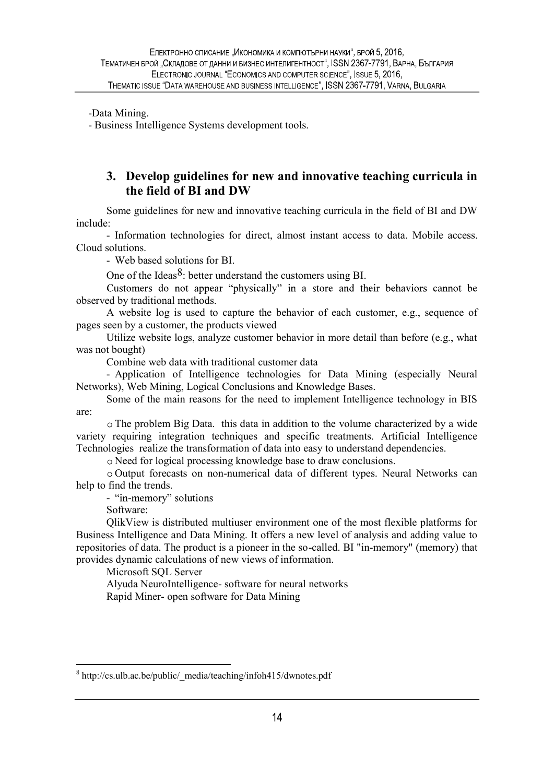-Data Mining.

- Business Intelligence Systems development tools.

#### 3. Develop guidelines for new and innovative teaching curricula in the field of BI and DW

Some guidelines for new and innovative teaching curricula in the field of BI and DW

include: - Information technologies for direct, almost instant access to data. Mobile access. Cloud solutions. - Web based solutions for BI.

One of the Ideas<sup>8</sup>: better understand the customers using BI.<br>Customers do not appear "physically" in a store and their behaviors cannot be observed by traditional methods.

A website log is used to capture the behavior of each customer, e.g., sequence of pages seen by a customer, the products viewed

Utilize website logs, analyze customer behavior in more detail than before (e.g., what was not bought)

Combine web data with traditional customer data<br>- Application of Intelligence technologies for Data Mining (especially Neural Networks), Web Mining, Logical Conclusions and Knowledge Bases.

Some of the main reasons for the need to implement Intelligence technology in BIS are:

The problem Big Data. this data in addition to the volume characterized by a wide variety requiring integration techniques and specific treatments. Artificial Intelligence Technologies realize the transformation of data into easy to understand dependencies.

Need for logical processing knowledge base to draw conclusions.

Output forecasts on non-numerical data of different types. Neural Networks can help to find the trends.<br>- "in-memory" solutions

Software:

QlikView is distributed multiuser environment one of the most flexible platforms for Business Intelligence and Data Mining. It offers a new level of analysis and adding value to repositories of data. The product is a pioneer in the so-called. BI "in-memory" (memory) that provides dynamic calculations of new views of information.

Microsoft SQL Server

Alyuda NeuroIntelligence- software for neural networks Rapid Miner- open software for Data Mining

<sup>&</sup>lt;sup>8</sup> http://cs.ulb.ac.be/public/ media/teaching/infoh415/dwnotes.pdf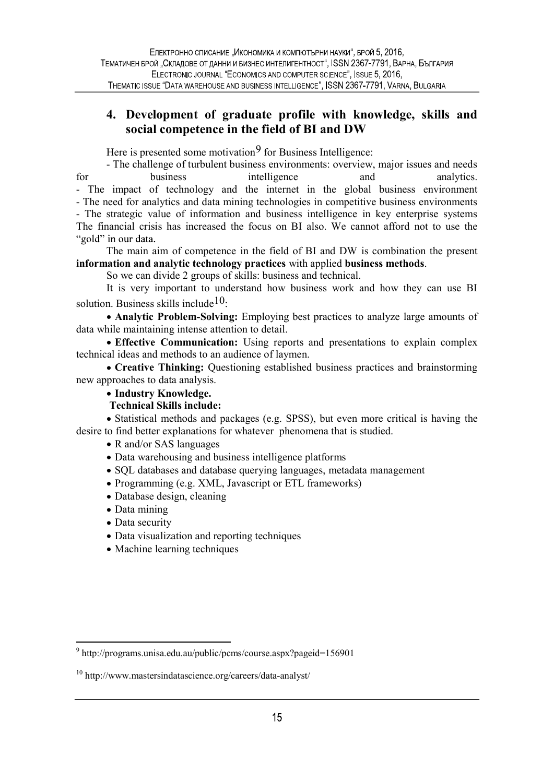## 4. Development of graduate profile with knowledge, skills and social competence in the field of BI and DW

Here is presented some motivation<sup>9</sup> for Business Intelligence:

- The challenge of turbulent business environments: overview, major issues and needs for business intelligence and analytics. - The impact of technology and the internet in the global business environment - The need for analytics and data mining technologies in competitive business environments - The strategic value of information and business intelligence in key enterprise systems The financial crisis has increased the focus on BI also. We cannot afford not to use the "gold" in our data.

The main aim of competence in the field of BI and DW is combination the present information and analytic technology practices with applied business methods. So we can divide 2 groups of skills: business and technical.

It is very important to understand how business work and how they can use BI solution. Business skills include  $10$ :

Analytic Problem-Solving: Employing best practices to analyze large amounts of data while maintaining intense attention to detail.

• Effective Communication: Using reports and presentations to explain complex technical ideas and methods to an audience of laymen.

Creative Thinking: Questioning established business practices and brainstorming new approaches to data analysis.

• Industry Knowledge.

Technical Skills include:

Statistical methods and packages (e.g. SPSS), but even more critical is having the desire to find better explanations for whatever phenomena that is studied.

• R and/or SAS languages

Data warehousing and business intelligence platforms

- SQL databases and database querying languages, metadata management
- Programming (e.g. XML, Javascript or ETL frameworks)
- Database design, cleaning
- Data mining
- Data security
- Data visualization and reporting techniques
- Machine learning techniques

<sup>&</sup>lt;sup>9</sup> http://programs.unisa.edu.au/public/pcms/course.aspx?pageid=156901

<sup>10</sup> http://www.mastersindatascience.org/careers/data-analyst/